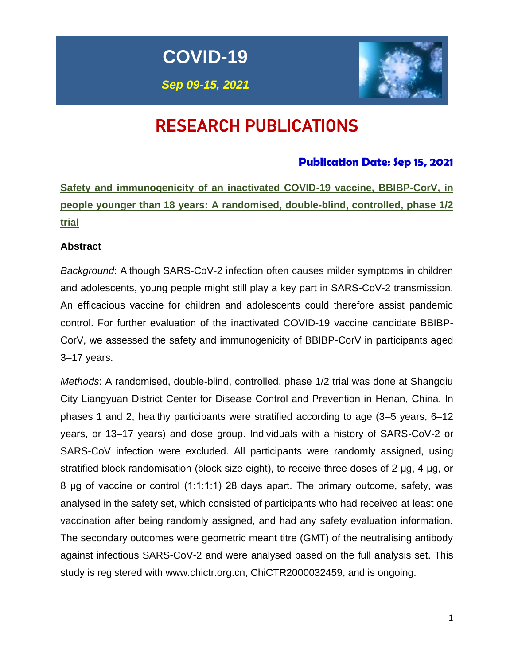**COVID-19**

*Sep 09-15, 2021*



# RESEARCH PUBLICATIONS

# **Publication Date: Sep 15, 2021**

**Safety and immunogenicity of an inactivated COVID-19 vaccine, BBIBP-CorV, in people younger than 18 years: A randomised, double-blind, controlled, phase 1/2 trial**

# **Abstract**

*Background*: Although SARS-CoV-2 infection often causes milder symptoms in children and adolescents, young people might still play a key part in SARS-CoV-2 transmission. An efficacious vaccine for children and adolescents could therefore assist pandemic control. For further evaluation of the inactivated COVID-19 vaccine candidate BBIBP-CorV, we assessed the safety and immunogenicity of BBIBP-CorV in participants aged 3–17 years.

*Methods*: A randomised, double-blind, controlled, phase 1/2 trial was done at Shangqiu City Liangyuan District Center for Disease Control and Prevention in Henan, China. In phases 1 and 2, healthy participants were stratified according to age (3–5 years, 6–12 years, or 13–17 years) and dose group. Individuals with a history of SARS-CoV-2 or SARS-CoV infection were excluded. All participants were randomly assigned, using stratified block randomisation (block size eight), to receive three doses of 2 μg, 4 μg, or 8 μg of vaccine or control (1:1:1:1) 28 days apart. The primary outcome, safety, was analysed in the safety set, which consisted of participants who had received at least one vaccination after being randomly assigned, and had any safety evaluation information. The secondary outcomes were geometric meant titre (GMT) of the neutralising antibody against infectious SARS-CoV-2 and were analysed based on the full analysis set. This study is registered with www.chictr.org.cn, ChiCTR2000032459, and is ongoing.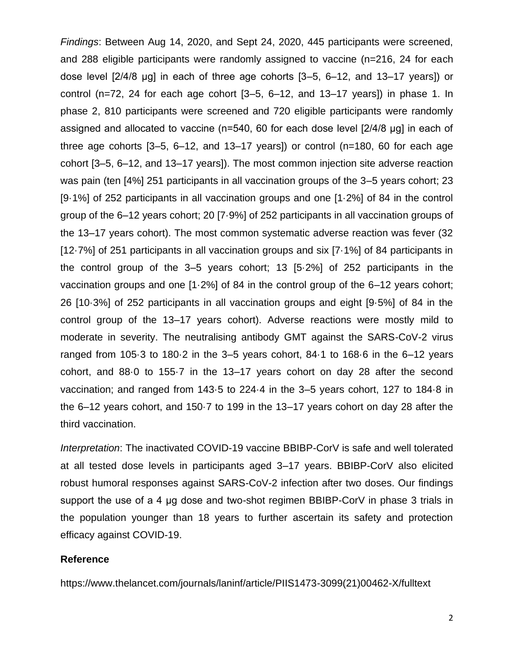*Findings*: Between Aug 14, 2020, and Sept 24, 2020, 445 participants were screened, and 288 eligible participants were randomly assigned to vaccine (n=216, 24 for each dose level [2/4/8 μg] in each of three age cohorts [3–5, 6–12, and 13–17 years]) or control (n=72, 24 for each age cohort [3–5, 6–12, and 13–17 years]) in phase 1. In phase 2, 810 participants were screened and 720 eligible participants were randomly assigned and allocated to vaccine (n=540, 60 for each dose level [2/4/8 μg] in each of three age cohorts [3–5, 6–12, and 13–17 years]) or control (n=180, 60 for each age cohort [3–5, 6–12, and 13–17 years]). The most common injection site adverse reaction was pain (ten [4%] 251 participants in all vaccination groups of the 3–5 years cohort; 23 [9·1%] of 252 participants in all vaccination groups and one [1·2%] of 84 in the control group of the 6–12 years cohort; 20 [7·9%] of 252 participants in all vaccination groups of the 13–17 years cohort). The most common systematic adverse reaction was fever (32 [12.7%] of 251 participants in all vaccination groups and six [7.1%] of 84 participants in the control group of the 3–5 years cohort; 13 [5·2%] of 252 participants in the vaccination groups and one [1·2%] of 84 in the control group of the 6–12 years cohort; 26 [10·3%] of 252 participants in all vaccination groups and eight [9·5%] of 84 in the control group of the 13–17 years cohort). Adverse reactions were mostly mild to moderate in severity. The neutralising antibody GMT against the SARS-CoV-2 virus ranged from 105·3 to 180·2 in the 3–5 years cohort, 84·1 to 168·6 in the 6–12 years cohort, and 88·0 to 155·7 in the 13–17 years cohort on day 28 after the second vaccination; and ranged from 143·5 to 224·4 in the 3–5 years cohort, 127 to 184·8 in the 6–12 years cohort, and 150·7 to 199 in the 13–17 years cohort on day 28 after the third vaccination.

*Interpretation*: The inactivated COVID-19 vaccine BBIBP-CorV is safe and well tolerated at all tested dose levels in participants aged 3–17 years. BBIBP-CorV also elicited robust humoral responses against SARS-CoV-2 infection after two doses. Our findings support the use of a 4 μg dose and two-shot regimen BBIBP-CorV in phase 3 trials in the population younger than 18 years to further ascertain its safety and protection efficacy against COVID-19.

#### **Reference**

https://www.thelancet.com/journals/laninf/article/PIIS1473-3099(21)00462-X/fulltext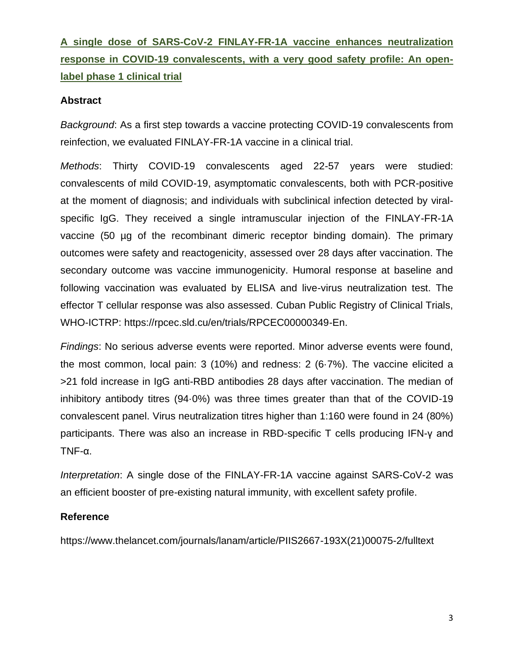# **A single dose of SARS-CoV-2 FINLAY-FR-1A vaccine enhances neutralization response in COVID-19 convalescents, with a very good safety profile: An openlabel phase 1 clinical trial**

### **Abstract**

*Background*: As a first step towards a vaccine protecting COVID-19 convalescents from reinfection, we evaluated FINLAY-FR-1A vaccine in a clinical trial.

*Methods*: Thirty COVID-19 convalescents aged 22-57 years were studied: convalescents of mild COVID-19, asymptomatic convalescents, both with PCR-positive at the moment of diagnosis; and individuals with subclinical infection detected by viralspecific IgG. They received a single intramuscular injection of the FINLAY-FR-1A vaccine (50 µg of the recombinant dimeric receptor binding domain). The primary outcomes were safety and reactogenicity, assessed over 28 days after vaccination. The secondary outcome was vaccine immunogenicity. Humoral response at baseline and following vaccination was evaluated by ELISA and live-virus neutralization test. The effector T cellular response was also assessed. Cuban Public Registry of Clinical Trials, WHO-ICTRP: https://rpcec.sld.cu/en/trials/RPCEC00000349-En.

*Findings*: No serious adverse events were reported. Minor adverse events were found, the most common, local pain: 3 (10%) and redness: 2 (6·7%). The vaccine elicited a >21 fold increase in IgG anti-RBD antibodies 28 days after vaccination. The median of inhibitory antibody titres (94·0%) was three times greater than that of the COVID-19 convalescent panel. Virus neutralization titres higher than 1:160 were found in 24 (80%) participants. There was also an increase in RBD-specific T cells producing IFN-γ and TNF-α.

*Interpretation*: A single dose of the FINLAY-FR-1A vaccine against SARS-CoV-2 was an efficient booster of pre-existing natural immunity, with excellent safety profile.

### **Reference**

https://www.thelancet.com/journals/lanam/article/PIIS2667-193X(21)00075-2/fulltext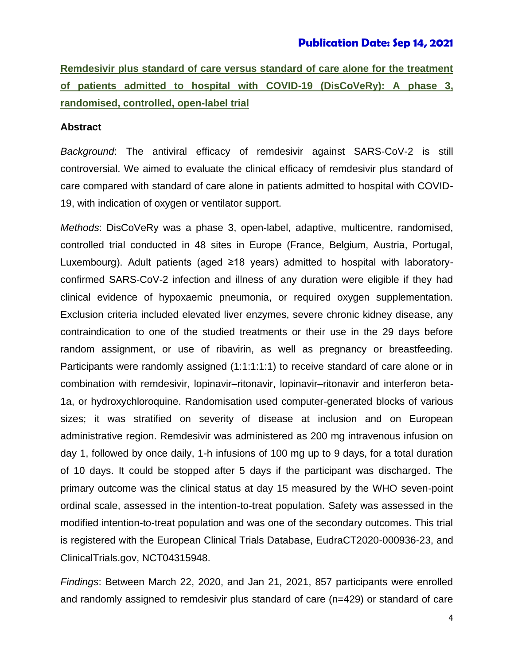### **Publication Date: Sep 14, 2021**

**Remdesivir plus standard of care versus standard of care alone for the treatment of patients admitted to hospital with COVID-19 (DisCoVeRy): A phase 3, randomised, controlled, open-label trial**

#### **Abstract**

*Background*: The antiviral efficacy of remdesivir against SARS-CoV-2 is still controversial. We aimed to evaluate the clinical efficacy of remdesivir plus standard of care compared with standard of care alone in patients admitted to hospital with COVID-19, with indication of oxygen or ventilator support.

*Methods*: DisCoVeRy was a phase 3, open-label, adaptive, multicentre, randomised, controlled trial conducted in 48 sites in Europe (France, Belgium, Austria, Portugal, Luxembourg). Adult patients (aged ≥18 years) admitted to hospital with laboratoryconfirmed SARS-CoV-2 infection and illness of any duration were eligible if they had clinical evidence of hypoxaemic pneumonia, or required oxygen supplementation. Exclusion criteria included elevated liver enzymes, severe chronic kidney disease, any contraindication to one of the studied treatments or their use in the 29 days before random assignment, or use of ribavirin, as well as pregnancy or breastfeeding. Participants were randomly assigned (1:1:1:1:1) to receive standard of care alone or in combination with remdesivir, lopinavir–ritonavir, lopinavir–ritonavir and interferon beta-1a, or hydroxychloroquine. Randomisation used computer-generated blocks of various sizes; it was stratified on severity of disease at inclusion and on European administrative region. Remdesivir was administered as 200 mg intravenous infusion on day 1, followed by once daily, 1-h infusions of 100 mg up to 9 days, for a total duration of 10 days. It could be stopped after 5 days if the participant was discharged. The primary outcome was the clinical status at day 15 measured by the WHO seven-point ordinal scale, assessed in the intention-to-treat population. Safety was assessed in the modified intention-to-treat population and was one of the secondary outcomes. This trial is registered with the European Clinical Trials Database, EudraCT2020-000936-23, and ClinicalTrials.gov, NCT04315948.

*Findings*: Between March 22, 2020, and Jan 21, 2021, 857 participants were enrolled and randomly assigned to remdesivir plus standard of care (n=429) or standard of care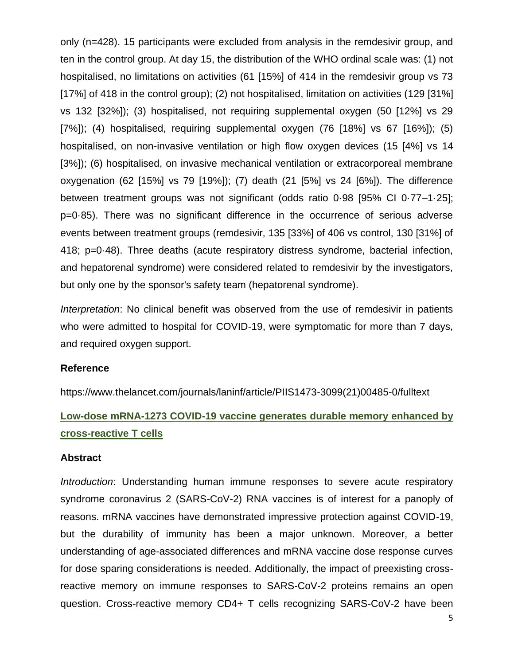only (n=428). 15 participants were excluded from analysis in the remdesivir group, and ten in the control group. At day 15, the distribution of the WHO ordinal scale was: (1) not hospitalised, no limitations on activities (61 [15%] of 414 in the remdesivir group vs 73 [17%] of 418 in the control group); (2) not hospitalised, limitation on activities (129 [31%] vs 132 [32%]); (3) hospitalised, not requiring supplemental oxygen (50 [12%] vs 29  $[7\%]$ ; (4) hospitalised, requiring supplemental oxygen  $(76 \; [18\%]$  vs 67  $[16\%]$ ; (5) hospitalised, on non-invasive ventilation or high flow oxygen devices (15 [4%] vs 14 [3%]); (6) hospitalised, on invasive mechanical ventilation or extracorporeal membrane oxygenation (62 [15%] vs 79 [19%]); (7) death (21 [5%] vs 24 [6%]). The difference between treatment groups was not significant (odds ratio 0·98 [95% CI 0·77–1·25]; p=0·85). There was no significant difference in the occurrence of serious adverse events between treatment groups (remdesivir, 135 [33%] of 406 vs control, 130 [31%] of 418; p=0·48). Three deaths (acute respiratory distress syndrome, bacterial infection, and hepatorenal syndrome) were considered related to remdesivir by the investigators, but only one by the sponsor's safety team (hepatorenal syndrome).

*Interpretation*: No clinical benefit was observed from the use of remdesivir in patients who were admitted to hospital for COVID-19, were symptomatic for more than 7 days, and required oxygen support.

#### **Reference**

https://www.thelancet.com/journals/laninf/article/PIIS1473-3099(21)00485-0/fulltext

# **Low-dose mRNA-1273 COVID-19 vaccine generates durable memory enhanced by cross-reactive T cells**

#### **Abstract**

*Introduction*: Understanding human immune responses to severe acute respiratory syndrome coronavirus 2 (SARS-CoV-2) RNA vaccines is of interest for a panoply of reasons. mRNA vaccines have demonstrated impressive protection against COVID-19, but the durability of immunity has been a major unknown. Moreover, a better understanding of age-associated differences and mRNA vaccine dose response curves for dose sparing considerations is needed. Additionally, the impact of preexisting crossreactive memory on immune responses to SARS-CoV-2 proteins remains an open question. Cross-reactive memory CD4+ T cells recognizing SARS-CoV-2 have been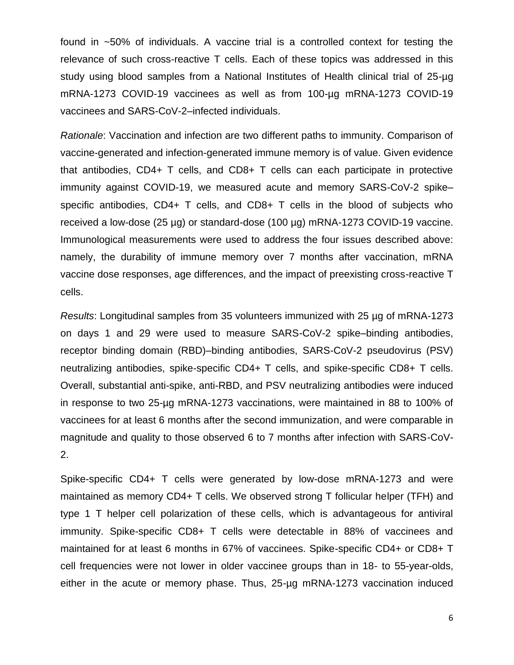found in ~50% of individuals. A vaccine trial is a controlled context for testing the relevance of such cross-reactive T cells. Each of these topics was addressed in this study using blood samples from a National Institutes of Health clinical trial of 25-µg mRNA-1273 COVID-19 vaccinees as well as from 100-µg mRNA-1273 COVID-19 vaccinees and SARS-CoV-2–infected individuals.

*Rationale*: Vaccination and infection are two different paths to immunity. Comparison of vaccine-generated and infection-generated immune memory is of value. Given evidence that antibodies, CD4+ T cells, and CD8+ T cells can each participate in protective immunity against COVID-19, we measured acute and memory SARS-CoV-2 spike– specific antibodies, CD4+ T cells, and CD8+ T cells in the blood of subjects who received a low-dose (25 µg) or standard-dose (100 µg) mRNA-1273 COVID-19 vaccine. Immunological measurements were used to address the four issues described above: namely, the durability of immune memory over 7 months after vaccination, mRNA vaccine dose responses, age differences, and the impact of preexisting cross-reactive T cells.

*Results*: Longitudinal samples from 35 volunteers immunized with 25 µg of mRNA-1273 on days 1 and 29 were used to measure SARS-CoV-2 spike–binding antibodies, receptor binding domain (RBD)–binding antibodies, SARS-CoV-2 pseudovirus (PSV) neutralizing antibodies, spike-specific CD4+ T cells, and spike-specific CD8+ T cells. Overall, substantial anti-spike, anti-RBD, and PSV neutralizing antibodies were induced in response to two 25-µg mRNA-1273 vaccinations, were maintained in 88 to 100% of vaccinees for at least 6 months after the second immunization, and were comparable in magnitude and quality to those observed 6 to 7 months after infection with SARS-CoV-2.

Spike-specific CD4+ T cells were generated by low-dose mRNA-1273 and were maintained as memory CD4+ T cells. We observed strong T follicular helper (TFH) and type 1 T helper cell polarization of these cells, which is advantageous for antiviral immunity. Spike-specific CD8+ T cells were detectable in 88% of vaccinees and maintained for at least 6 months in 67% of vaccinees. Spike-specific CD4+ or CD8+ T cell frequencies were not lower in older vaccinee groups than in 18- to 55-year-olds, either in the acute or memory phase. Thus, 25-µg mRNA-1273 vaccination induced

6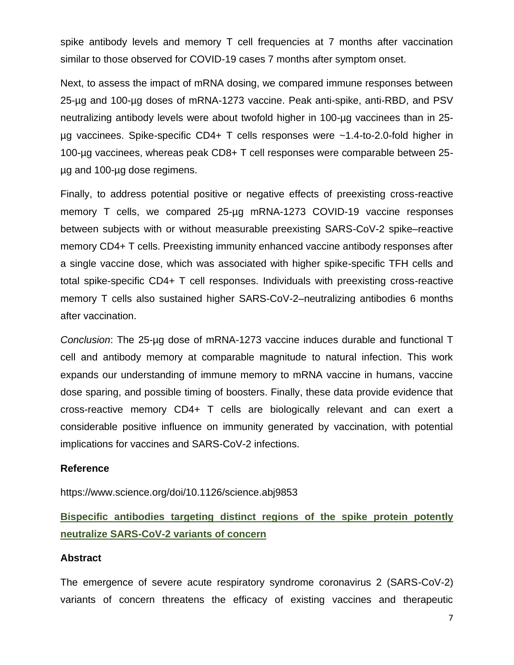spike antibody levels and memory T cell frequencies at 7 months after vaccination similar to those observed for COVID-19 cases 7 months after symptom onset.

Next, to assess the impact of mRNA dosing, we compared immune responses between 25-µg and 100-µg doses of mRNA-1273 vaccine. Peak anti-spike, anti-RBD, and PSV neutralizing antibody levels were about twofold higher in 100-µg vaccinees than in 25 µg vaccinees. Spike-specific CD4+ T cells responses were ~1.4-to-2.0-fold higher in 100-µg vaccinees, whereas peak CD8+ T cell responses were comparable between 25 µg and 100-µg dose regimens.

Finally, to address potential positive or negative effects of preexisting cross-reactive memory T cells, we compared 25-µg mRNA-1273 COVID-19 vaccine responses between subjects with or without measurable preexisting SARS-CoV-2 spike–reactive memory CD4+ T cells. Preexisting immunity enhanced vaccine antibody responses after a single vaccine dose, which was associated with higher spike-specific TFH cells and total spike-specific CD4+ T cell responses. Individuals with preexisting cross-reactive memory T cells also sustained higher SARS-CoV-2–neutralizing antibodies 6 months after vaccination.

*Conclusion*: The 25-µg dose of mRNA-1273 vaccine induces durable and functional T cell and antibody memory at comparable magnitude to natural infection. This work expands our understanding of immune memory to mRNA vaccine in humans, vaccine dose sparing, and possible timing of boosters. Finally, these data provide evidence that cross-reactive memory CD4+ T cells are biologically relevant and can exert a considerable positive influence on immunity generated by vaccination, with potential implications for vaccines and SARS-CoV-2 infections.

#### **Reference**

https://www.science.org/doi/10.1126/science.abj9853

**Bispecific antibodies targeting distinct regions of the spike protein potently neutralize SARS-CoV-2 variants of concern**

#### **Abstract**

The emergence of severe acute respiratory syndrome coronavirus 2 (SARS-CoV-2) variants of concern threatens the efficacy of existing vaccines and therapeutic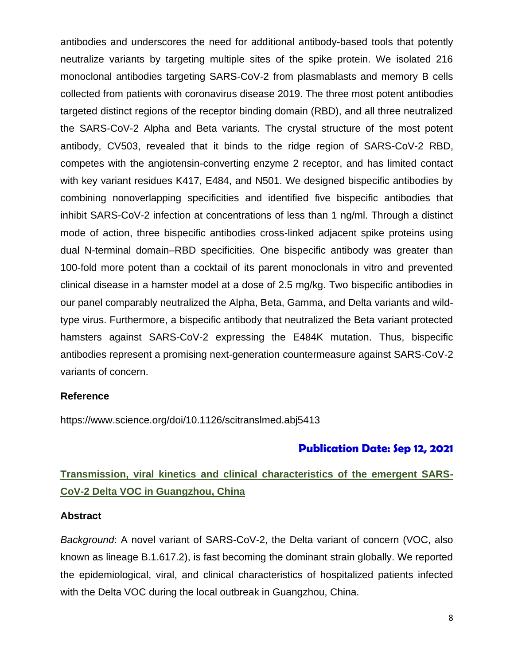antibodies and underscores the need for additional antibody-based tools that potently neutralize variants by targeting multiple sites of the spike protein. We isolated 216 monoclonal antibodies targeting SARS-CoV-2 from plasmablasts and memory B cells collected from patients with coronavirus disease 2019. The three most potent antibodies targeted distinct regions of the receptor binding domain (RBD), and all three neutralized the SARS-CoV-2 Alpha and Beta variants. The crystal structure of the most potent antibody, CV503, revealed that it binds to the ridge region of SARS-CoV-2 RBD, competes with the angiotensin-converting enzyme 2 receptor, and has limited contact with key variant residues K417, E484, and N501. We designed bispecific antibodies by combining nonoverlapping specificities and identified five bispecific antibodies that inhibit SARS-CoV-2 infection at concentrations of less than 1 ng/ml. Through a distinct mode of action, three bispecific antibodies cross-linked adjacent spike proteins using dual N-terminal domain–RBD specificities. One bispecific antibody was greater than 100-fold more potent than a cocktail of its parent monoclonals in vitro and prevented clinical disease in a hamster model at a dose of 2.5 mg/kg. Two bispecific antibodies in our panel comparably neutralized the Alpha, Beta, Gamma, and Delta variants and wildtype virus. Furthermore, a bispecific antibody that neutralized the Beta variant protected hamsters against SARS-CoV-2 expressing the E484K mutation. Thus, bispecific antibodies represent a promising next-generation countermeasure against SARS-CoV-2 variants of concern.

#### **Reference**

https://www.science.org/doi/10.1126/scitranslmed.abj5413

### **Publication Date: Sep 12, 2021**

# **Transmission, viral kinetics and clinical characteristics of the emergent SARS-CoV-2 Delta VOC in Guangzhou, China**

#### **Abstract**

*Background*: A novel variant of SARS-CoV-2, the Delta variant of concern (VOC, also known as lineage B.1.617.2), is fast becoming the dominant strain globally. We reported the epidemiological, viral, and clinical characteristics of hospitalized patients infected with the Delta VOC during the local outbreak in Guangzhou, China.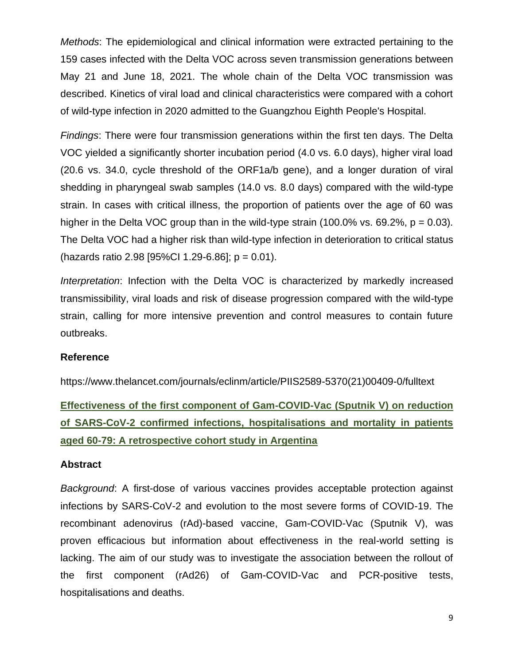*Methods*: The epidemiological and clinical information were extracted pertaining to the 159 cases infected with the Delta VOC across seven transmission generations between May 21 and June 18, 2021. The whole chain of the Delta VOC transmission was described. Kinetics of viral load and clinical characteristics were compared with a cohort of wild-type infection in 2020 admitted to the Guangzhou Eighth People's Hospital.

*Findings*: There were four transmission generations within the first ten days. The Delta VOC yielded a significantly shorter incubation period (4.0 vs. 6.0 days), higher viral load (20.6 vs. 34.0, cycle threshold of the ORF1a/b gene), and a longer duration of viral shedding in pharyngeal swab samples (14.0 vs. 8.0 days) compared with the wild-type strain. In cases with critical illness, the proportion of patients over the age of 60 was higher in the Delta VOC group than in the wild-type strain (100.0% vs. 69.2%,  $p = 0.03$ ). The Delta VOC had a higher risk than wild-type infection in deterioration to critical status (hazards ratio 2.98 [95%Cl 1.29-6.86];  $p = 0.01$ ).

*Interpretation*: Infection with the Delta VOC is characterized by markedly increased transmissibility, viral loads and risk of disease progression compared with the wild-type strain, calling for more intensive prevention and control measures to contain future outbreaks.

#### **Reference**

https://www.thelancet.com/journals/eclinm/article/PIIS2589-5370(21)00409-0/fulltext

**Effectiveness of the first component of Gam-COVID-Vac (Sputnik V) on reduction of SARS-CoV-2 confirmed infections, hospitalisations and mortality in patients aged 60-79: A retrospective cohort study in Argentina**

#### **Abstract**

*Background*: A first-dose of various vaccines provides acceptable protection against infections by SARS-CoV-2 and evolution to the most severe forms of COVID-19. The recombinant adenovirus (rAd)-based vaccine, Gam-COVID-Vac (Sputnik V), was proven efficacious but information about effectiveness in the real-world setting is lacking. The aim of our study was to investigate the association between the rollout of the first component (rAd26) of Gam-COVID-Vac and PCR-positive tests, hospitalisations and deaths.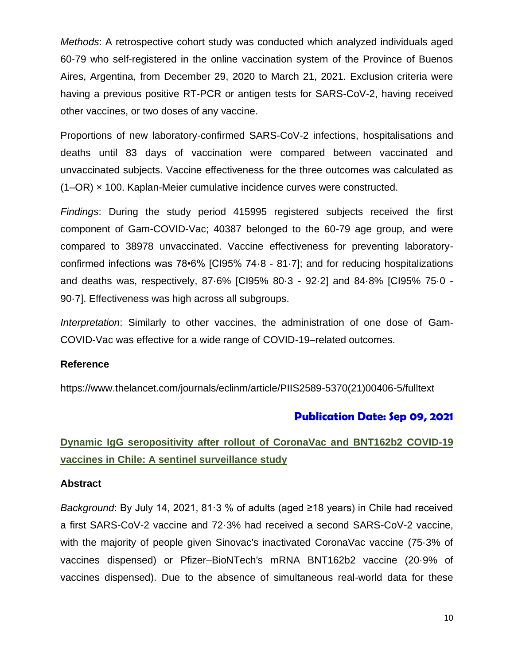*Methods*: A retrospective cohort study was conducted which analyzed individuals aged 60-79 who self-registered in the online vaccination system of the Province of Buenos Aires, Argentina, from December 29, 2020 to March 21, 2021. Exclusion criteria were having a previous positive RT-PCR or antigen tests for SARS-CoV-2, having received other vaccines, or two doses of any vaccine.

Proportions of new laboratory-confirmed SARS-CoV-2 infections, hospitalisations and deaths until 83 days of vaccination were compared between vaccinated and unvaccinated subjects. Vaccine effectiveness for the three outcomes was calculated as (1–OR) × 100. Kaplan-Meier cumulative incidence curves were constructed.

*Findings*: During the study period 415995 registered subjects received the first component of Gam-COVID-Vac; 40387 belonged to the 60-79 age group, and were compared to 38978 unvaccinated. Vaccine effectiveness for preventing laboratoryconfirmed infections was 78•6% [CI95% 74·8 - 81·7]; and for reducing hospitalizations and deaths was, respectively, 87·6% [CI95% 80·3 - 92·2] and 84·8% [CI95% 75·0 - 90·7]. Effectiveness was high across all subgroups.

*Interpretation*: Similarly to other vaccines, the administration of one dose of Gam-COVID-Vac was effective for a wide range of COVID-19–related outcomes.

### **Reference**

https://www.thelancet.com/journals/eclinm/article/PIIS2589-5370(21)00406-5/fulltext

# **Publication Date: Sep 09, 2021**

# **Dynamic IgG seropositivity after rollout of CoronaVac and BNT162b2 COVID-19 vaccines in Chile: A sentinel surveillance study**

#### **Abstract**

*Background*: By July 14, 2021, 81·3 % of adults (aged ≥18 years) in Chile had received a first SARS-CoV-2 vaccine and 72·3% had received a second SARS-CoV-2 vaccine, with the majority of people given Sinovac's inactivated CoronaVac vaccine (75·3% of vaccines dispensed) or Pfizer–BioNTech's mRNA BNT162b2 vaccine (20·9% of vaccines dispensed). Due to the absence of simultaneous real-world data for these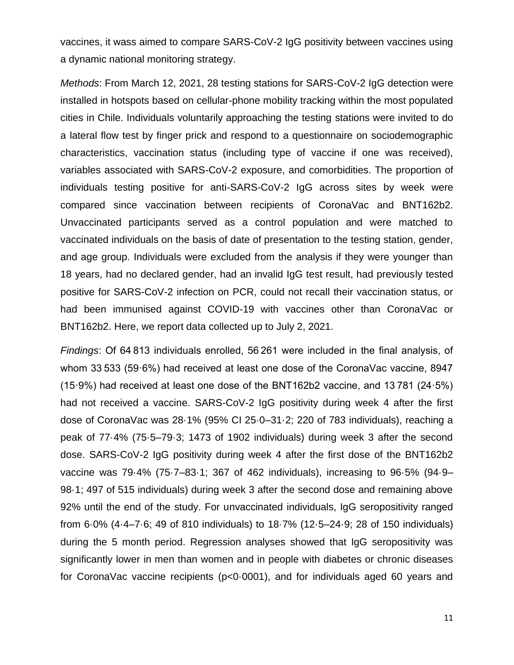vaccines, it wass aimed to compare SARS-CoV-2 IgG positivity between vaccines using a dynamic national monitoring strategy.

*Methods*: From March 12, 2021, 28 testing stations for SARS-CoV-2 IgG detection were installed in hotspots based on cellular-phone mobility tracking within the most populated cities in Chile. Individuals voluntarily approaching the testing stations were invited to do a lateral flow test by finger prick and respond to a questionnaire on sociodemographic characteristics, vaccination status (including type of vaccine if one was received), variables associated with SARS-CoV-2 exposure, and comorbidities. The proportion of individuals testing positive for anti-SARS-CoV-2 IgG across sites by week were compared since vaccination between recipients of CoronaVac and BNT162b2. Unvaccinated participants served as a control population and were matched to vaccinated individuals on the basis of date of presentation to the testing station, gender, and age group. Individuals were excluded from the analysis if they were younger than 18 years, had no declared gender, had an invalid IgG test result, had previously tested positive for SARS-CoV-2 infection on PCR, could not recall their vaccination status, or had been immunised against COVID-19 with vaccines other than CoronaVac or BNT162b2. Here, we report data collected up to July 2, 2021.

*Findings*: Of 64 813 individuals enrolled, 56 261 were included in the final analysis, of whom 33 533 (59·6%) had received at least one dose of the CoronaVac vaccine, 8947 (15·9%) had received at least one dose of the BNT162b2 vaccine, and 13 781 (24·5%) had not received a vaccine. SARS-CoV-2 IgG positivity during week 4 after the first dose of CoronaVac was 28·1% (95% CI 25·0–31·2; 220 of 783 individuals), reaching a peak of 77·4% (75·5–79·3; 1473 of 1902 individuals) during week 3 after the second dose. SARS-CoV-2 IgG positivity during week 4 after the first dose of the BNT162b2 vaccine was 79·4% (75·7–83·1; 367 of 462 individuals), increasing to 96·5% (94·9– 98·1; 497 of 515 individuals) during week 3 after the second dose and remaining above 92% until the end of the study. For unvaccinated individuals, IgG seropositivity ranged from 6·0% (4·4–7·6; 49 of 810 individuals) to 18·7% (12·5–24·9; 28 of 150 individuals) during the 5 month period. Regression analyses showed that IgG seropositivity was significantly lower in men than women and in people with diabetes or chronic diseases for CoronaVac vaccine recipients (p<0·0001), and for individuals aged 60 years and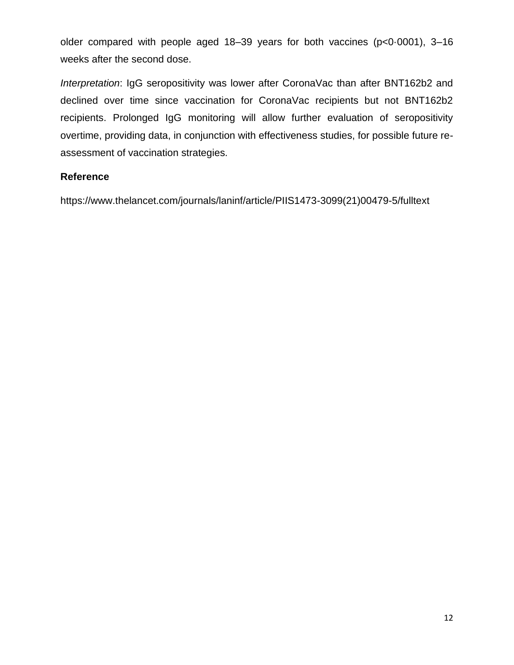older compared with people aged 18–39 years for both vaccines (p<0·0001), 3–16 weeks after the second dose.

*Interpretation*: IgG seropositivity was lower after CoronaVac than after BNT162b2 and declined over time since vaccination for CoronaVac recipients but not BNT162b2 recipients. Prolonged IgG monitoring will allow further evaluation of seropositivity overtime, providing data, in conjunction with effectiveness studies, for possible future reassessment of vaccination strategies.

### **Reference**

https://www.thelancet.com/journals/laninf/article/PIIS1473-3099(21)00479-5/fulltext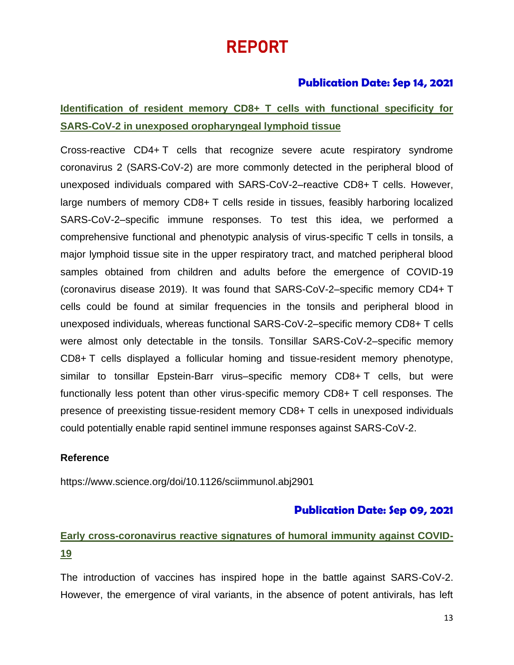# REPORT

# **Publication Date: Sep 14, 2021**

# **Identification of resident memory CD8+ T cells with functional specificity for SARS-CoV-2 in unexposed oropharyngeal lymphoid tissue**

Cross-reactive CD4+ T cells that recognize severe acute respiratory syndrome coronavirus 2 (SARS-CoV-2) are more commonly detected in the peripheral blood of unexposed individuals compared with SARS-CoV-2–reactive CD8+ T cells. However, large numbers of memory CD8+ T cells reside in tissues, feasibly harboring localized SARS-CoV-2–specific immune responses. To test this idea, we performed a comprehensive functional and phenotypic analysis of virus-specific T cells in tonsils, a major lymphoid tissue site in the upper respiratory tract, and matched peripheral blood samples obtained from children and adults before the emergence of COVID-19 (coronavirus disease 2019). It was found that SARS-CoV-2–specific memory CD4+ T cells could be found at similar frequencies in the tonsils and peripheral blood in unexposed individuals, whereas functional SARS-CoV-2–specific memory CD8+ T cells were almost only detectable in the tonsils. Tonsillar SARS-CoV-2–specific memory CD8+ T cells displayed a follicular homing and tissue-resident memory phenotype, similar to tonsillar Epstein-Barr virus–specific memory CD8+ T cells, but were functionally less potent than other virus-specific memory CD8+ T cell responses. The presence of preexisting tissue-resident memory CD8+ T cells in unexposed individuals could potentially enable rapid sentinel immune responses against SARS-CoV-2.

### **Reference**

<https://www.science.org/doi/10.1126/sciimmunol.abj2901>

# **Publication Date: Sep 09, 2021**

# **Early cross-coronavirus reactive signatures of humoral immunity against COVID-19**

The introduction of vaccines has inspired hope in the battle against SARS-CoV-2. However, the emergence of viral variants, in the absence of potent antivirals, has left